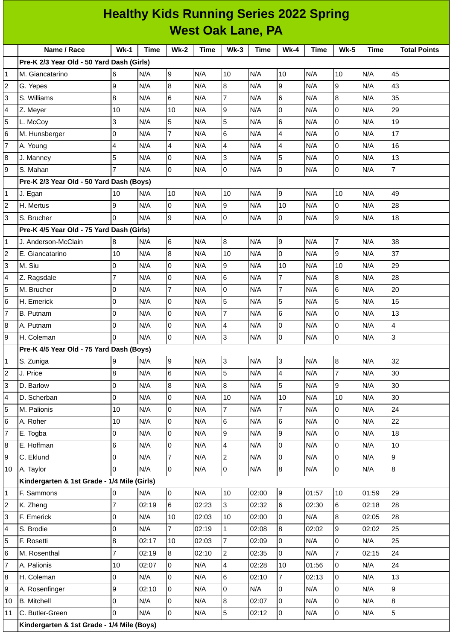| <b>Healthy Kids Running Series 2022 Spring</b> |                                             |                |             |                     |             |                 |             |                |             |                |             |                     |
|------------------------------------------------|---------------------------------------------|----------------|-------------|---------------------|-------------|-----------------|-------------|----------------|-------------|----------------|-------------|---------------------|
| <b>West Oak Lane, PA</b>                       |                                             |                |             |                     |             |                 |             |                |             |                |             |                     |
|                                                | Name / Race                                 | $Wk-1$         | <b>Time</b> | <b>Wk-2</b>         | <b>Time</b> | $Wk-3$          | <b>Time</b> | $Wk-4$         | <b>Time</b> | $Wk-5$         | <b>Time</b> | <b>Total Points</b> |
|                                                | Pre-K 2/3 Year Old - 50 Yard Dash (Girls)   |                |             |                     |             |                 |             |                |             |                |             |                     |
| 1                                              | M. Giancatarino                             | 6              | N/A         | 9                   | N/A         | 10              | N/A         | 10             | N/A         | 10             | N/A         | 45                  |
| 2                                              | G. Yepes                                    | 9              | N/A         | 8                   | N/A         | 8               | N/A         | 9              | N/A         | 9              | N/A         | 43                  |
| 3                                              | S. Williams                                 | $\bf{8}$       | N/A         | 6                   | N/A         | $\overline{7}$  | N/A         | 6              | N/A         | 8              | N/A         | 35                  |
| 4                                              | Z. Meyer                                    | 10             | N/A         | 10                  | N/A         | 9               | N/A         | 0              | N/A         | 0              | N/A         | 29                  |
| 5                                              | L. McCoy                                    | 3              | N/A         | 5                   | N/A         | 5               | N/A         | 6              | N/A         | 0              | N/A         | 19                  |
| 6                                              | M. Hunsberger                               | l0             | N/A         | $\overline{7}$      | N/A         | $6\phantom{1}6$ | N/A         | $\overline{4}$ | N/A         | 0              | N/A         | 17                  |
| 7                                              | A. Young                                    | $\overline{4}$ | N/A         | 4                   | N/A         | $\overline{4}$  | N/A         | $\overline{4}$ | N/A         | 0              | N/A         | 16                  |
| 8                                              | J. Manney                                   | 5              | N/A         | 0                   | N/A         | 3               | N/A         | 5              | N/A         | 0              | N/A         | 13                  |
| 9                                              | S. Mahan                                    | $\overline{7}$ | N/A         | 0                   | N/A         | 0               | N/A         | l0             | N/A         | 0              | N/A         | $\overline{7}$      |
|                                                | Pre-K 2/3 Year Old - 50 Yard Dash (Boys)    |                |             |                     |             |                 |             |                |             |                |             |                     |
| 1                                              | J. Egan                                     | 10             | N/A         | 10                  | N/A         | 10              | N/A         | 9              | N/A         | 10             | N/A         | 49                  |
| $\overline{c}$                                 | H. Mertus                                   | 9              | N/A         | 0                   | N/A         | 9               | N/A         | 10             | N/A         | 0              | N/A         | 28                  |
| 3                                              | S. Brucher                                  | $\Omega$       | N/A         | 9                   | N/A         | $\mathsf{O}$    | N/A         | 0              | N/A         | 9              | N/A         | 18                  |
|                                                | Pre-K 4/5 Year Old - 75 Yard Dash (Girls)   |                |             |                     |             |                 |             |                |             |                |             |                     |
| 1                                              | J. Anderson-McClain                         | 8              | N/A         | 6                   | N/A         | 8               | N/A         | 9              | N/A         | $\overline{7}$ | N/A         | 38                  |
| 2                                              | E. Giancatarino                             | 10             | N/A         | 8                   | N/A         | 10              | N/A         | $\mathbf 0$    | N/A         | 9              | N/A         | 37                  |
| 3                                              | M. Siu                                      | O              | N/A         | 0                   | N/A         | 9               | N/A         | 10             | N/A         | 10             | N/A         | 29                  |
| 4                                              | Z. Ragsdale                                 | $\overline{7}$ | N/A         | 0                   | N/A         | 6               | N/A         | $\overline{7}$ | N/A         | 8              | N/A         | 28                  |
| 5                                              | M. Brucher                                  | 0              | N/A         | $\overline{7}$      | N/A         | $\overline{0}$  | N/A         | $\overline{7}$ | N/A         | 6              | N/A         | 20                  |
| 6                                              | H. Emerick                                  | 0              | N/A         | 0                   | N/A         | 5               | N/A         | 5              | N/A         | 5              | N/A         | 15                  |
| $\overline{7}$                                 | <b>B.</b> Putnam                            | $\overline{0}$ | N/A         | 0                   | N/A         | $\overline{7}$  | N/A         | 6              | N/A         | 0              | N/A         | 13                  |
| 8                                              | A. Putnam                                   | 0              | N/A         | $\mathsf{O}\xspace$ | N/A         | 4               | N/A         | 0              | N/A         | 0              | N/A         | $\overline{4}$      |
| 9                                              | H. Coleman                                  | $\overline{0}$ | N/A         | 0                   | N/A         | 3               | N/A         | 0              | N/A         | 0              | N/A         | 3                   |
|                                                | Pre-K 4/5 Year Old - 75 Yard Dash (Boys)    |                |             |                     |             |                 |             |                |             |                |             |                     |
| 1                                              | S. Zuniga                                   | 9              | N/A         | 9                   | N/A         | $\overline{3}$  | N/A         | Iз             | N/A         | 8              | N/A         | 32                  |
| 2                                              | J. Price                                    | $\overline{8}$ | N/A         | 6                   | N/A         | 5               | N/A         | $\overline{4}$ | N/A         | $\overline{7}$ | N/A         | 30                  |
| 3                                              | D. Barlow                                   | O              | N/A         | 8                   | N/A         | 8               | N/A         | $\overline{5}$ | N/A         | 9              | N/A         | 30                  |
| 4                                              | D. Scherban                                 | 0              | N/A         | 0                   | N/A         | 10              | N/A         | 10             | N/A         | 10             | N/A         | 30                  |
| 5                                              | M. Palionis                                 | 10             | N/A         | 0                   | N/A         | 7               | N/A         | $\overline{7}$ | N/A         | 0              | N/A         | 24                  |
| 6                                              | A. Roher                                    | 10             | N/A         | 0                   | N/A         | 6               | N/A         | 6              | N/A         | 0              | N/A         | 22                  |
| 7                                              | E. Togba                                    | 0              | N/A         | 0                   | N/A         | 9               | N/A         | 9              | N/A         | 0              | N/A         | 18                  |
| 8                                              | E. Hoffman                                  | 6              | N/A         | 0                   | N/A         | 4               | N/A         | $\overline{0}$ | N/A         | 0              | N/A         | 10                  |
| 9                                              | C. Eklund                                   | O              | N/A         | $\overline{7}$      | N/A         | $\overline{c}$  | N/A         | $\mathsf{O}$   | N/A         | 0              | N/A         | 9                   |
| 10                                             | A. Taylor                                   | O              | N/A         | 0                   | N/A         | $\overline{0}$  | N/A         | $\overline{8}$ | N/A         | 0              | N/A         | 8                   |
|                                                | Kindergarten & 1st Grade - 1/4 Mile (Girls) |                |             |                     |             |                 |             |                |             |                |             |                     |
| 1                                              | F. Sammons                                  | l0             | N/A         | $\overline{0}$      | N/A         | 10              | 02:00       | 9              | 01:57       | 10             | 01:59       | 29                  |
| 2                                              | K. Zheng                                    | $\overline{7}$ | 02:19       | 6                   | 02:23       | $\overline{3}$  | 02:32       | $\,6$          | 02:30       | 6              | 02:18       | 28                  |
| 3                                              | F. Emerick                                  | 0              | N/A         | 10                  | 02:03       | 10              | 02:00       | l0             | N/A         | 8              | 02:05       | 28                  |
| 4                                              | S. Brodie                                   | 0              | N/A         | $\overline{7}$      | 02:19       | $\mathbf{1}$    | 02:08       | 8              | 02:02       | 9              | 02:02       | 25                  |
| 5                                              | F. Rosetti                                  | $\overline{8}$ | 02:17       | 10                  | 02:03       | $\overline{7}$  | 02:09       | 0              | N/A         | 0              | N/A         | 25                  |
| 6                                              | M. Rosenthal                                | $\overline{7}$ | 02:19       | 8                   | 02:10       | $\overline{c}$  | 02:35       | l0             | N/A         | $\overline{7}$ | 02:15       | 24                  |
| 7                                              | A. Palionis                                 | 10             | 02:07       | 0                   | N/A         | $\overline{a}$  | 02:28       | 10             | 01:56       | 0              | N/A         | 24                  |
| 8                                              | H. Coleman                                  | 0              | N/A         | 0                   | N/A         | $6\phantom{a}$  | 02:10       | $\overline{7}$ | 02:13       | 0              | N/A         | 13                  |
| 9                                              | A. Rosenfinger                              | 9              | 02:10       | 0                   | N/A         | 0               | N/A         | $\overline{0}$ | N/A         | 0              | N/A         | 9                   |
| 10                                             | <b>B.</b> Mitchell                          | O              | N/A         | 0                   | N/A         | $\, 8$          | 02:07       | 0              | N/A         | 0              | N/A         | $8\,$               |
| 11                                             | C. Butler-Green                             | O              | N/A         | 0                   | N/A         | 5               | 02:12       | $\overline{0}$ | N/A         | 0              | N/A         | 5                   |
|                                                | Kindergarten & 1st Grade - 1/4 Mile (Boys)  |                |             |                     |             |                 |             |                |             |                |             |                     |